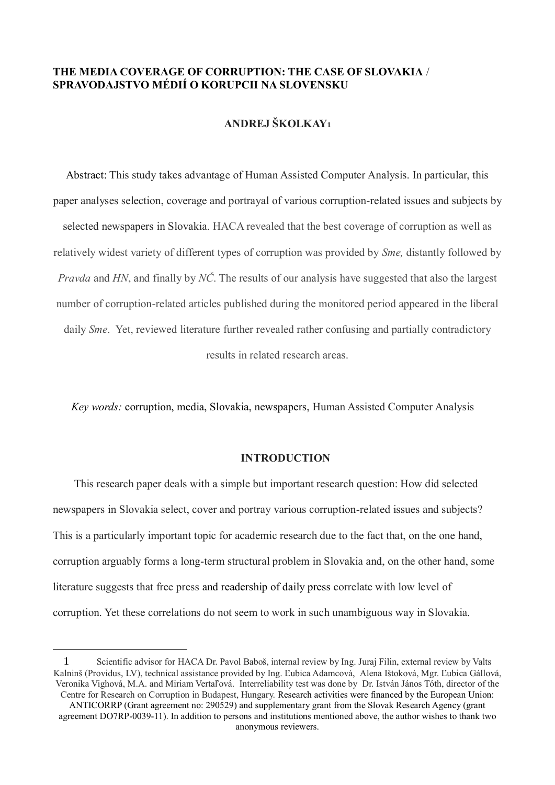## **THE MEDIA COVERAGE OF CORRUPTION: THE CASE OF SLOVAKIA** / **SPRAVODAJSTVO MÉDIÍ O KORUPCII NA SLOVENSKU**

## **ANDREJ ŠKOLKAY<sup>1</sup>**

Abstract: This study takes advantage of Human Assisted Computer Analysis. In particular, this paper analyses selection, coverage and portrayal of various corruption-related issues and subjects by selected newspapers in Slovakia. HACA revealed that the best coverage of corruption as well as relatively widest variety of different types of corruption was provided by *Sme,* distantly followed by *Pravda* and *HN*, and finally by *NČ*. The results of our analysis have suggested that also the largest number of corruption-related articles published during the monitored period appeared in the liberal daily *Sme*. Yet, reviewed literature further revealed rather confusing and partially contradictory results in related research areas.

*Key words:* corruption, media, Slovakia, newspapers, Human Assisted Computer Analysis

## **INTRODUCTION**

This research paper deals with a simple but important research question: How did selected newspapers in Slovakia select, cover and portray various corruption-related issues and subjects? This is a particularly important topic for academic research due to the fact that, on the one hand, corruption arguably forms a long-term structural problem in Slovakia and, on the other hand, some literature suggests that free press and readership of daily press correlate with low level of corruption. Yet these correlations do not seem to work in such unambiguous way in Slovakia.

<sup>1</sup> Scientific advisor for HACA Dr. Pavol Baboš, internal review by Ing. Juraj Filin, external review by Valts Kalninš (Providus, LV), technical assistance provided by Ing. Ľubica Adamcová, Alena Ištoková, Mgr. Ľubica Gállová, Veronika Vighová, M.A. and Miriam Vertaľová. Interreliability test was done by Dr. István János Tóth, director of the Centre for Research on Corruption in Budapest, Hungary. Research activities were financed by the European Union:

ANTICORRP (Grant agreement no: 290529) and supplementary grant from the Slovak Research Agency (grant agreement DO7RP-0039-11). In addition to persons and institutions mentioned above, the author wishes to thank two anonymous reviewers.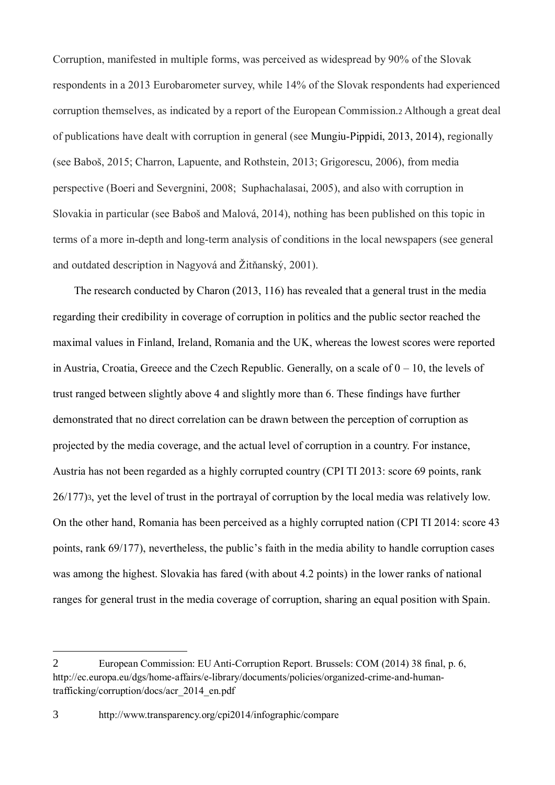Corruption, manifested in multiple forms, was perceived as widespread by 90% of the Slovak respondents in a 2013 Eurobarometer survey, while 14% of the Slovak respondents had experienced corruption themselves, as indicated by a report of the European Commission.<sup>2</sup> Although a great deal of publications have dealt with corruption in general (see Mungiu-Pippidi, 2013, 2014), regionally (see Baboš, 2015; Charron, Lapuente, and Rothstein, 2013; Grigorescu, 2006), from media perspective (Boeri and Severgnini, 2008; Suphachalasai, 2005), and also with corruption in Slovakia in particular (see Baboš and Malová, 2014), nothing has been published on this topic in terms of a more in-depth and long-term analysis of conditions in the local newspapers (see general and outdated description in Nagyová and Žitňanský, 2001).

The research conducted by Charon (2013, 116) has revealed that a general trust in the media regarding their credibility in coverage of corruption in politics and the public sector reached the maximal values in Finland, Ireland, Romania and the UK, whereas the lowest scores were reported in Austria, Croatia, Greece and the Czech Republic. Generally, on a scale of  $0 - 10$ , the levels of trust ranged between slightly above 4 and slightly more than 6. These findings have further demonstrated that no direct correlation can be drawn between the perception of corruption as projected by the media coverage, and the actual level of corruption in a country. For instance, Austria has not been regarded as a highly corrupted country (CPI TI 2013: score 69 points, rank 26/177)3, yet the level of trust in the portrayal of corruption by the local media was relatively low. On the other hand, Romania has been perceived as a highly corrupted nation (CPI TI 2014: score 43 points, rank 69/177), nevertheless, the public's faith in the media ability to handle corruption cases was among the highest. Slovakia has fared (with about 4.2 points) in the lower ranks of national ranges for general trust in the media coverage of corruption, sharing an equal position with Spain.

<sup>2</sup> European Commission: EU Anti-Corruption Report. Brussels: COM (2014) 38 final, p. 6, http://ec.europa.eu/dgs/home-affairs/e-library/documents/policies/organized-crime-and-humantrafficking/corruption/docs/acr\_2014\_en.pdf

<sup>3</sup> http://www.transparency.org/cpi2014/infographic/compare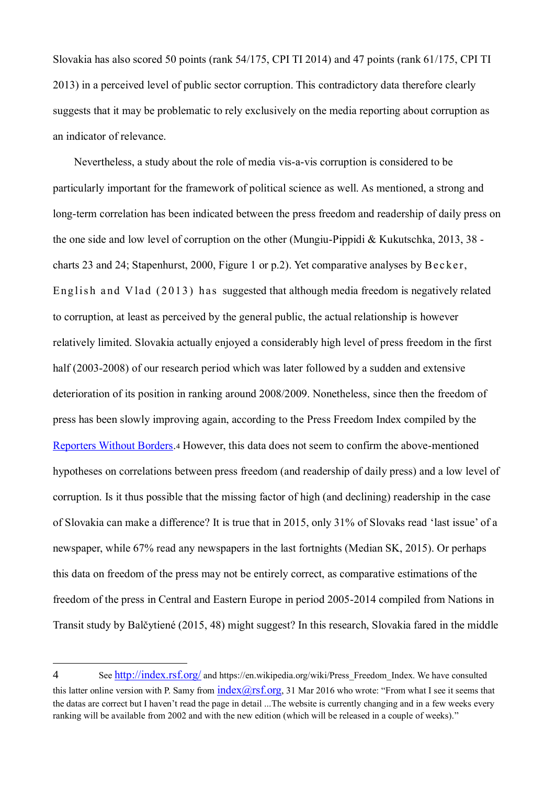Slovakia has also scored 50 points (rank 54/175, CPI TI 2014) and 47 points (rank 61/175, CPI TI 2013) in a perceived level of public sector corruption. This contradictory data therefore clearly suggests that it may be problematic to rely exclusively on the media reporting about corruption as an indicator of relevance.

Nevertheless, a study about the role of media vis-a-vis corruption is considered to be particularly important for the framework of political science as well. As mentioned, a strong and long-term correlation has been indicated between the press freedom and readership of daily press on the one side and low level of corruption on the other (Mungiu-Pippidi & Kukutschka, 2013, 38 charts 23 and 24; Stapenhurst, 2000, Figure 1 or p.2). Yet comparative analyses by Bec ke r, English and Vlad (2013) has suggested that although media freedom is negatively related to corruption, at least as perceived by the general public, the actual relationship is however relatively limited. Slovakia actually enjoyed a considerably high level of press freedom in the first half (2003-2008) of our research period which was later followed by a sudden and extensive deterioration of its position in ranking around 2008/2009. Nonetheless, since then the freedom of press has been slowly improving again, according to the Press Freedom Index compiled by the Reporters Without Borders.<sup>4</sup> However, this data does not seem to confirm the above-mentioned hypotheses on correlations between press freedom (and readership of daily press) and a low level of corruption. Is it thus possible that the missing factor of high (and declining) readership in the case of Slovakia can make a difference? It is true that in 2015, only 31% of Slovaks read 'last issue' of a newspaper, while 67% read any newspapers in the last fortnights (Median SK, 2015). Or perhaps this data on freedom of the press may not be entirely correct, as comparative estimations of the freedom of the press in Central and Eastern Europe in period 2005-2014 compiled from Nations in Transit study by Balčytiené (2015, 48) might suggest? In this research, Slovakia fared in the middle

<sup>4</sup> See http://index.rsf.org/ and https://en.wikipedia.org/wiki/Press Freedom Index. We have consulted this latter online version with P. Samy from  $index(Qrsf.org, 31$  Mar 2016 who wrote: "From what I see it seems that the datas are correct but I haven't read the page in detail ...The website is currently changing and in a few weeks every ranking will be available from 2002 and with the new edition (which will be released in a couple of weeks)."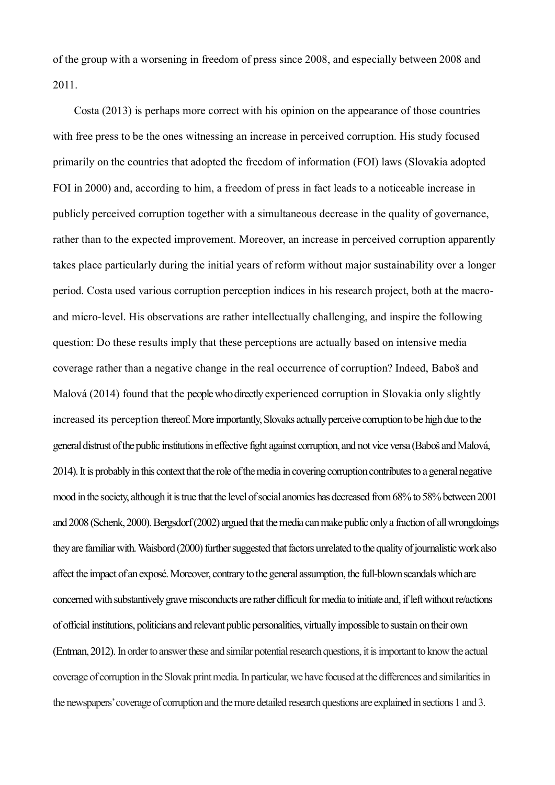of the group with a worsening in freedom of press since 2008, and especially between 2008 and 2011.

Costa (2013) is perhaps more correct with his opinion on the appearance of those countries with free press to be the ones witnessing an increase in perceived corruption. His study focused primarily on the countries that adopted the freedom of information (FOI) laws (Slovakia adopted FOI in 2000) and, according to him, a freedom of press in fact leads to a noticeable increase in publicly perceived corruption together with a simultaneous decrease in the quality of governance, rather than to the expected improvement. Moreover, an increase in perceived corruption apparently takes place particularly during the initial years of reform without major sustainability over a longer period. Costa used various corruption perception indices in his research project, both at the macroand micro-level. His observations are rather intellectually challenging, and inspire the following question: Do these results imply that these perceptions are actually based on intensive media coverage rather than a negative change in the real occurrence of corruption? Indeed, Baboš and Malová (2014) found that the people who directly experienced corruption in Slovakia only slightly increased its perception thereof. More importantly, Slovaks actually perceive corruption to be high due to the general distrust of the public institutions in effective fight against corruption, and not vice versa (Baboš and Malová, 2014).It is probably in this context that the role of the media in covering corruption contributes to a general negative mood in the society, although it is true that the level of social anomies has decreased from 68% to 58% between 2001 and 2008 (Schenk, 2000). Bergsdorf (2002) argued that the media can make public only a fraction of all wrongdoings they are familiar with. Waisbord (2000) further suggested that factors unrelated to the quality of journalistic work also affect the impact of an exposé. Moreover, contrary to the general assumption, the full-blown scandals which are concerned with substantively grave misconducts are rather difficult for media to initiate and, if left without re/actions of official institutions, politicians and relevant public personalities, virtually impossible to sustain on their own (Entman, 2012). In order to answer these and similar potential research questions, it is important to know the actual coverage of corruption in the Slovak print media. In particular, we have focused at the differences and similarities in the newspapers' coverage of corruption and the more detailed research questions are explained in sections 1 and 3.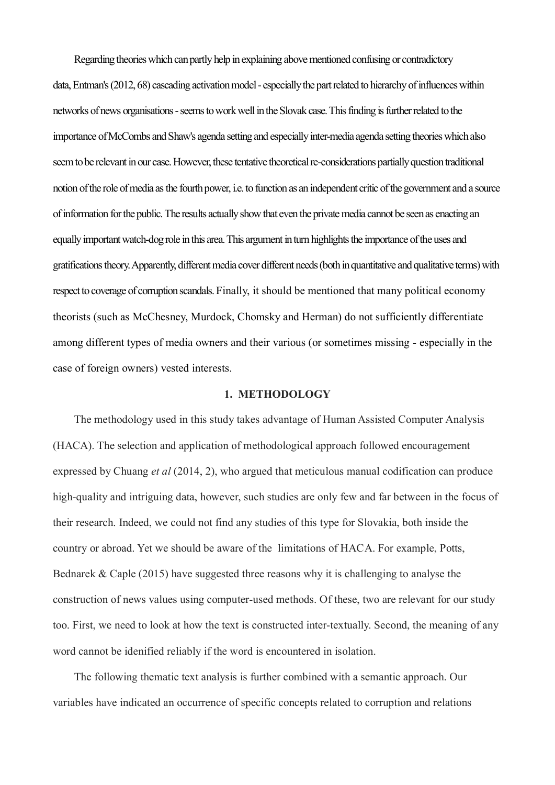Regarding theories which can partly help in explaining above mentioned confusing or contradictory data,Entman's (2012, 68) cascading activation model - especially the part related to hierarchy of influences within networks of news organisations -seems to work well in the Slovak case. This finding is further related to the importance ofMcCombs and Shaw's agenda setting and especially inter-media agenda setting theories which also seem to be relevant in our case. However, these tentative theoretical re-considerations partially question traditional notion of the role of media as the fourth power, i.e. to function as an independent critic of the government and a source of information for the public. The results actually show that even the private media cannot be seen as enacting an equally important watch-dog role in this area. This argument in turn highlights the importance of the uses and gratifications theory. Apparently, different media cover different needs (both in quantitative and qualitative terms) with respect to coverage of corruption scandals. Finally, it should be mentioned that many political economy theorists (such as McChesney, Murdock, Chomsky and Herman) do not sufficiently differentiate among different types of media owners and their various (or sometimes missing - especially in the case of foreign owners) vested interests.

### **1. METHODOLOGY**

The methodology used in this study takes advantage of Human Assisted Computer Analysis (HACA). The selection and application of methodological approach followed encouragement expressed by Chuang *et al* (2014, 2), who argued that meticulous manual codification can produce high-quality and intriguing data, however, such studies are only few and far between in the focus of their research. Indeed, we could not find any studies of this type for Slovakia, both inside the country or abroad. Yet we should be aware of the limitations of HACA. For example, Potts, Bednarek & Caple (2015) have suggested three reasons why it is challenging to analyse the construction of news values using computer-used methods. Of these, two are relevant for our study too. First, we need to look at how the text is constructed inter-textually. Second, the meaning of any word cannot be idenified reliably if the word is encountered in isolation.

The following thematic text analysis is further combined with a semantic approach. Our variables have indicated an occurrence of specific concepts related to corruption and relations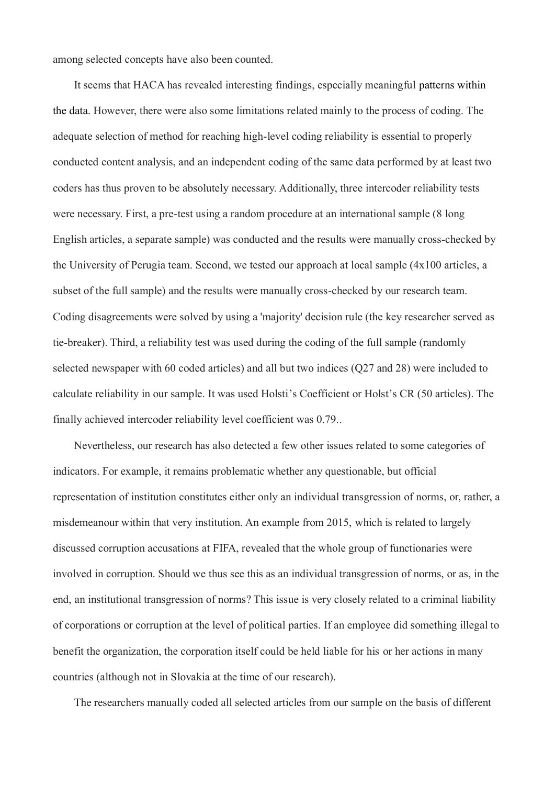among selected concepts have also been counted.

It seems that HACA has revealed interesting findings, especially meaningful patterns within the data. However, there were also some limitations related mainly to the process of coding. The adequate selection of method for reaching high-level coding reliability is essential to properly conducted content analysis, and an independent coding of the same data performed by at least two coders has thus proven to be absolutely necessary. Additionally, three intercoder reliability tests were necessary. First, a pre-test using a random procedure at an international sample (8 long English articles, a separate sample) was conducted and the results were manually cross-checked by the University of Perugia team. Second, we tested our approach at local sample (4x100 articles, a subset of the full sample) and the results were manually cross-checked by our research team. Coding disagreements were solved by using a 'majority' decision rule (the key researcher served as tie-breaker). Third, a reliability test was used during the coding of the full sample (randomly selected newspaper with 60 coded articles) and all but two indices (Q27 and 28) were included to calculate reliability in our sample. It was used Holsti's Coefficient or Holst's CR (50 articles). The finally achieved intercoder reliability level coefficient was 0.79..

Nevertheless, our research has also detected a few other issues related to some categories of indicators. For example, it remains problematic whether any questionable, but official representation of institution constitutes either only an individual transgression of norms, or, rather, a misdemeanour within that very institution. An example from 2015, which is related to largely discussed corruption accusations at FIFA, revealed that the whole group of functionaries were involved in corruption. Should we thus see this as an individual transgression of norms, or as, in the end, an institutional transgression of norms? This issue is very closely related to a criminal liability of corporations or corruption at the level of political parties. If an employee did something illegal to benefit the organization, the corporation itself could be held liable for his or her actions in many countries (although not in Slovakia at the time of our research).

The researchers manually coded all selected articles from our sample on the basis of different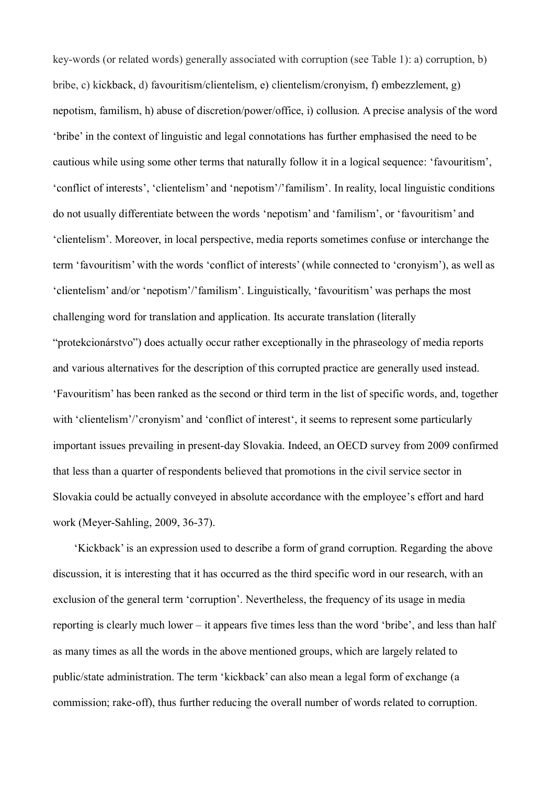key-words (or related words) generally associated with corruption (see Table 1): a) corruption, b) bribe, c) kickback, d) favouritism/clientelism, e) clientelism/cronyism, f) embezzlement, g) nepotism, familism, h) abuse of discretion/power/office, i) collusion. A precise analysis of the word 'bribe' in the context of linguistic and legal connotations has further emphasised the need to be cautious while using some other terms that naturally follow it in a logical sequence: 'favouritism', 'conflict of interests', 'clientelism' and 'nepotism'/'familism'. In reality, local linguistic conditions do not usually differentiate between the words 'nepotism' and 'familism', or 'favouritism' and 'clientelism'. Moreover, in local perspective, media reports sometimes confuse or interchange the term 'favouritism' with the words 'conflict of interests' (while connected to 'cronyism'), as well as 'clientelism' and/or 'nepotism'/'familism'. Linguistically, 'favouritism' was perhaps the most challenging word for translation and application. Its accurate translation (literally "protekcionárstvo") does actually occur rather exceptionally in the phraseology of media reports and various alternatives for the description of this corrupted practice are generally used instead. 'Favouritism' has been ranked as the second or third term in the list of specific words, and, together with 'clientelism'/'cronyism' and 'conflict of interest', it seems to represent some particularly important issues prevailing in present-day Slovakia. Indeed, an OECD survey from 2009 confirmed that less than a quarter of respondents believed that promotions in the civil service sector in Slovakia could be actually conveyed in absolute accordance with the employee's effort and hard work (Meyer-Sahling, 2009, 36-37).

'Kickback' is an expression used to describe a form of grand corruption. Regarding the above discussion, it is interesting that it has occurred as the third specific word in our research, with an exclusion of the general term 'corruption'. Nevertheless, the frequency of its usage in media reporting is clearly much lower – it appears five times less than the word 'bribe', and less than half as many times as all the words in the above mentioned groups, which are largely related to public/state administration. The term 'kickback' can also mean a legal form of exchange (a commission; rake-off), thus further reducing the overall number of words related to corruption.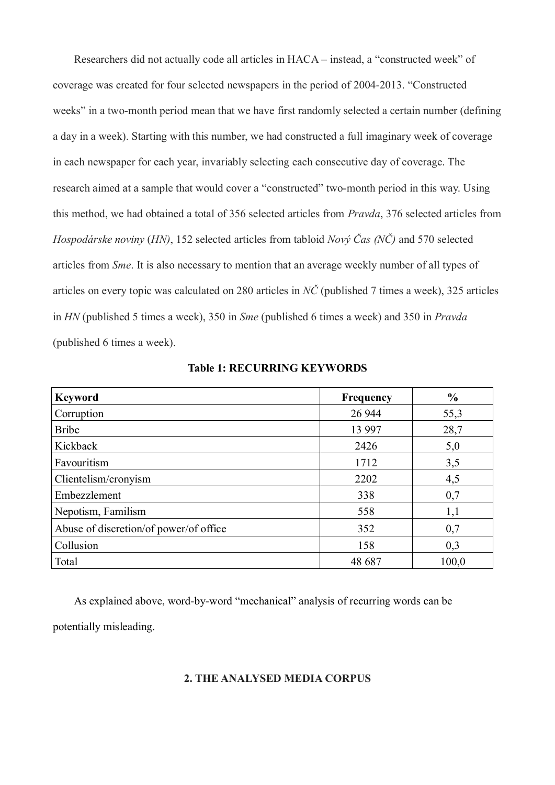Researchers did not actually code all articles in HACA – instead, a "constructed week" of coverage was created for four selected newspapers in the period of 2004-2013. "Constructed weeks" in a two-month period mean that we have first randomly selected a certain number (defining a day in a week). Starting with this number, we had constructed a full imaginary week of coverage in each newspaper for each year, invariably selecting each consecutive day of coverage. The research aimed at a sample that would cover a "constructed" two-month period in this way. Using this method, we had obtained a total of 356 selected articles from *Pravda*, 376 selected articles from *Hospodárske noviny* (*HN)*, 152 selected articles from tabloid *Nový Čas (NČ)* and 570 selected articles from *Sme*. It is also necessary to mention that an average weekly number of all types of articles on every topic was calculated on 280 articles in *NČ* (published 7 times a week), 325 articles in *HN* (published 5 times a week), 350 in *Sme* (published 6 times a week) and 350 in *Pravda* (published 6 times a week).

| <b>Keyword</b>                         | Frequency | $\frac{6}{6}$ |
|----------------------------------------|-----------|---------------|
| Corruption                             | 26 944    | 55,3          |
| <b>Bribe</b>                           | 13 997    | 28,7          |
| Kickback                               | 2426      | 5,0           |
| Favouritism                            | 1712      | 3,5           |
| Clientelism/cronyism                   | 2202      | 4,5           |
| Embezzlement                           | 338       | 0,7           |
| Nepotism, Familism                     | 558       | 1,1           |
| Abuse of discretion/of power/of office | 352       | 0,7           |
| Collusion                              | 158       | 0,3           |
| Total                                  | 48 687    | 100,0         |

**Table 1: RECURRING KEYWORDS**

As explained above, word-by-word "mechanical" analysis of recurring words can be

potentially misleading.

### **2. THE ANALYSED MEDIA CORPUS**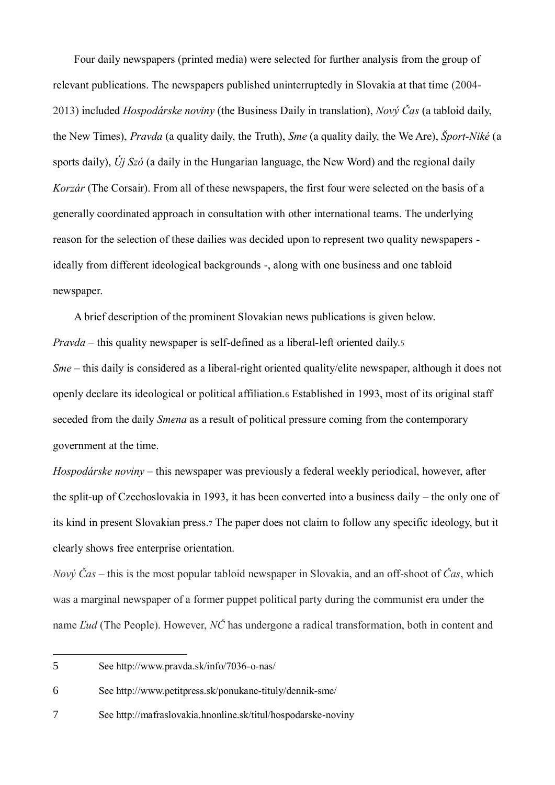Four daily newspapers (printed media) were selected for further analysis from the group of relevant publications. The newspapers published uninterruptedly in Slovakia at that time (2004- 2013) included *Hospodárske noviny* (the Business Daily in translation), *Nový Čas* (a tabloid daily, the New Times), *Pravda* (a quality daily, the Truth), *Sme* (a quality daily, the We Are), *Šport-Niké* (a sports daily), *Új Szó* (a daily in the Hungarian language, the New Word) and the regional daily *Korzár* (The Corsair). From all of these newspapers, the first four were selected on the basis of a generally coordinated approach in consultation with other international teams. The underlying reason for the selection of these dailies was decided upon to represent two quality newspapers ideally from different ideological backgrounds -, along with one business and one tabloid newspaper.

A brief description of the prominent Slovakian news publications is given below. *Pravda* – this quality newspaper is self-defined as a liberal-left oriented daily.5 *Sme* – this daily is considered as a liberal-right oriented quality/elite newspaper, although it does not openly declare its ideological or political affiliation.<sup>6</sup> Established in 1993, most of its original staff seceded from the daily *Smena* as a result of political pressure coming from the contemporary government at the time.

*Hospodárske noviny* – this newspaper was previously a federal weekly periodical, however, after the split-up of Czechoslovakia in 1993, it has been converted into a business daily – the only one of its kind in present Slovakian press.<sup>7</sup> The paper does not claim to follow any specific ideology, but it clearly shows free enterprise orientation.

*Nový Čas* – this is the most popular tabloid newspaper in Slovakia, and an off-shoot of *Čas*, which was a marginal newspaper of a former puppet political party during the communist era under the name *Ľud* (The People). However, *NČ* has undergone a radical transformation, both in content and

6 See http://www.petitpress.sk/ponukane-tituly/dennik-sme/

7 See http://mafraslovakia.hnonline.sk/titul/hospodarske-noviny

<sup>5</sup> See http://www.pravda.sk/info/7036-o-nas/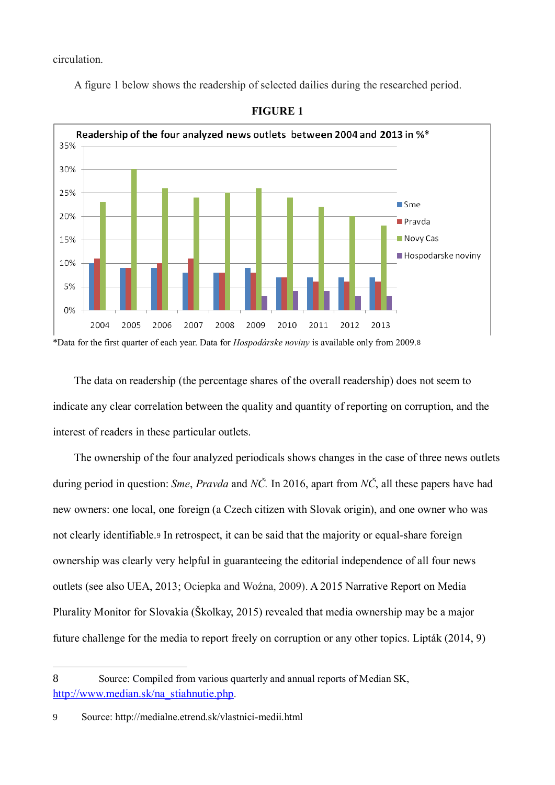circulation.

A figure 1 below shows the readership of selected dailies during the researched period.





\*Data for the first quarter of each year. Data for *Hospodárske noviny* is available only from 2009.8

The data on readership (the percentage shares of the overall readership) does not seem to indicate any clear correlation between the quality and quantity of reporting on corruption, and the interest of readers in these particular outlets.

The ownership of the four analyzed periodicals shows changes in the case of three news outlets during period in question: *Sme*, *Pravda* and *NČ.* In 2016, apart from *NČ*, all these papers have had new owners: one local, one foreign (a Czech citizen with Slovak origin), and one owner who was not clearly identifiable.<sup>9</sup> In retrospect, it can be said that the majority or equal-share foreign ownership was clearly very helpful in guaranteeing the editorial independence of all four news outlets (see also UEA, 2013; Ociepka and Woźna, 2009). A 2015 Narrative Report on Media Plurality Monitor for Slovakia (Školkay, 2015) revealed that media ownership may be a major future challenge for the media to report freely on corruption or any other topics. Lipták (2014, 9)

<sup>8</sup> Source: Compiled from various quarterly and annual reports of Median SK, http://www.median.sk/na\_stiahnutie.php.

<sup>9</sup> Source: http://medialne.etrend.sk/vlastnici-medii.html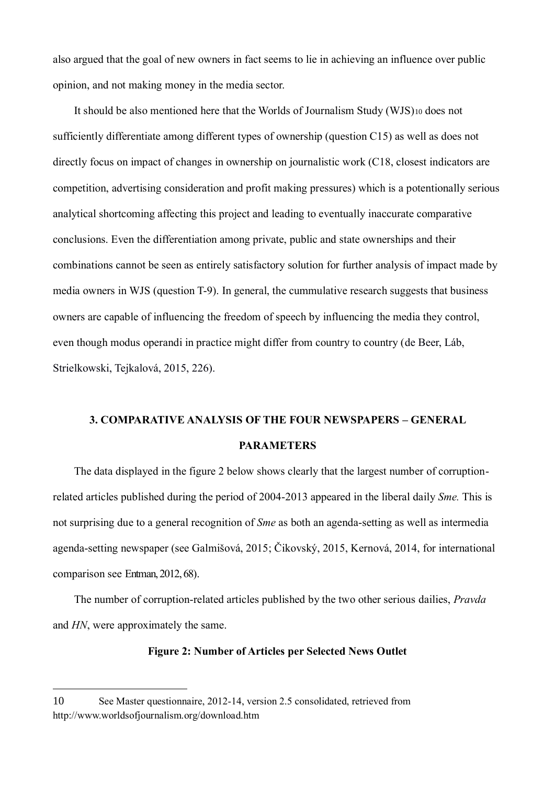also argued that the goal of new owners in fact seems to lie in achieving an influence over public opinion, and not making money in the media sector.

It should be also mentioned here that the Worlds of Journalism Study (WJS)<sup>10</sup> does not sufficiently differentiate among different types of ownership (question C15) as well as does not directly focus on impact of changes in ownership on journalistic work (C18, closest indicators are competition, advertising consideration and profit making pressures) which is a potentionally serious analytical shortcoming affecting this project and leading to eventually inaccurate comparative conclusions. Even the differentiation among private, public and state ownerships and their combinations cannot be seen as entirely satisfactory solution for further analysis of impact made by media owners in WJS (question T-9). In general, the cummulative research suggests that business owners are capable of influencing the freedom of speech by influencing the media they control, even though modus operandi in practice might differ from country to country (de Beer, Láb, Strielkowski, Tejkalová, 2015, 226).

# **3. COMPARATIVE ANALYSIS OF THE FOUR NEWSPAPERS – GENERAL PARAMETERS**

The data displayed in the figure 2 below shows clearly that the largest number of corruptionrelated articles published during the period of 2004-2013 appeared in the liberal daily *Sme.* This is not surprising due to a general recognition of *Sme* as both an agenda-setting as well as intermedia agenda-setting newspaper (see Galmišová, 2015; Čikovský, 2015, Kernová, 2014, for international comparison see Entman, 2012, 68).

The number of corruption-related articles published by the two other serious dailies, *Pravda*  and *HN*, were approximately the same.

### **Figure 2: Number of Articles per Selected News Outlet**

<sup>10</sup> See Master questionnaire, 2012-14, version 2.5 consolidated, retrieved from http://www.worldsofjournalism.org/download.htm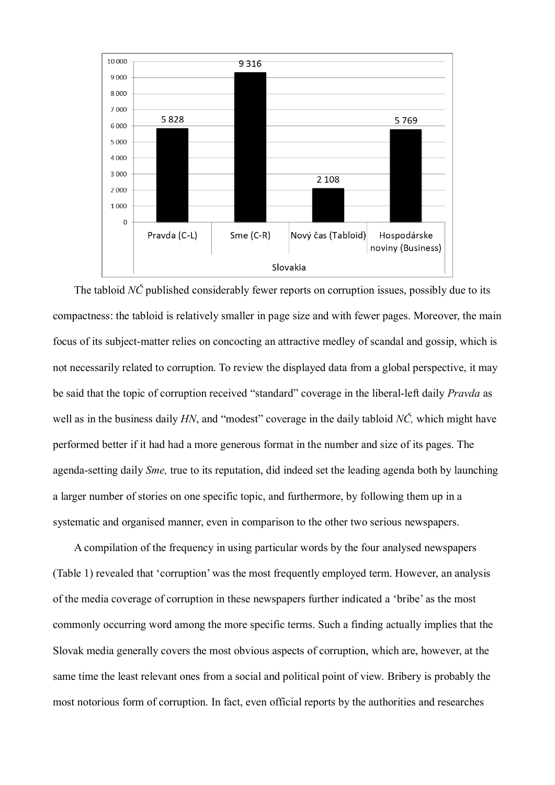

The tabloid *NČ* published considerably fewer reports on corruption issues, possibly due to its compactness: the tabloid is relatively smaller in page size and with fewer pages. Moreover, the main focus of its subject-matter relies on concocting an attractive medley of scandal and gossip, which is not necessarily related to corruption. To review the displayed data from a global perspective, it may be said that the topic of corruption received "standard" coverage in the liberal-left daily *Pravda* as well as in the business daily *HN*, and "modest" coverage in the daily tabloid *NČ,* which might have performed better if it had had a more generous format in the number and size of its pages. The agenda-setting daily *Sme,* true to its reputation, did indeed set the leading agenda both by launching a larger number of stories on one specific topic, and furthermore, by following them up in a systematic and organised manner, even in comparison to the other two serious newspapers.

A compilation of the frequency in using particular words by the four analysed newspapers (Table 1) revealed that 'corruption' was the most frequently employed term. However, an analysis of the media coverage of corruption in these newspapers further indicated a 'bribe' as the most commonly occurring word among the more specific terms. Such a finding actually implies that the Slovak media generally covers the most obvious aspects of corruption, which are, however, at the same time the least relevant ones from a social and political point of view. Bribery is probably the most notorious form of corruption. In fact, even official reports by the authorities and researches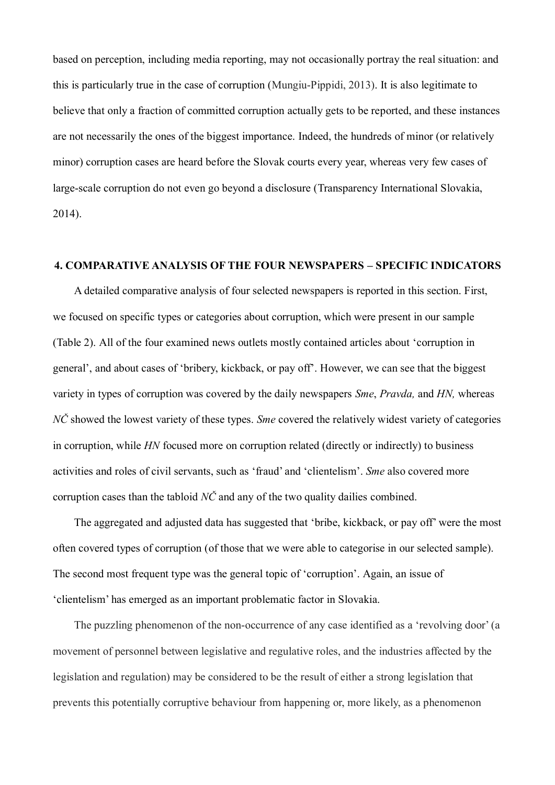based on perception, including media reporting, may not occasionally portray the real situation: and this is particularly true in the case of corruption (Mungiu-Pippidi, 2013). It is also legitimate to believe that only a fraction of committed corruption actually gets to be reported, and these instances are not necessarily the ones of the biggest importance. Indeed, the hundreds of minor (or relatively minor) corruption cases are heard before the Slovak courts every year, whereas very few cases of large-scale corruption do not even go beyond a disclosure (Transparency International Slovakia, 2014).

## **4. COMPARATIVE ANALYSIS OF THE FOUR NEWSPAPERS – SPECIFIC INDICATORS**

A detailed comparative analysis of four selected newspapers is reported in this section. First, we focused on specific types or categories about corruption, which were present in our sample (Table 2). All of the four examined news outlets mostly contained articles about 'corruption in general', and about cases of 'bribery, kickback, or pay off'. However, we can see that the biggest variety in types of corruption was covered by the daily newspapers *Sme*, *Pravda,* and *HN,* whereas *NČ* showed the lowest variety of these types. *Sme* covered the relatively widest variety of categories in corruption, while *HN* focused more on corruption related (directly or indirectly) to business activities and roles of civil servants, such as 'fraud' and 'clientelism'. *Sme* also covered more corruption cases than the tabloid *NČ* and any of the two quality dailies combined.

The aggregated and adjusted data has suggested that 'bribe, kickback, or pay off' were the most often covered types of corruption (of those that we were able to categorise in our selected sample). The second most frequent type was the general topic of 'corruption'. Again, an issue of 'clientelism' has emerged as an important problematic factor in Slovakia.

The puzzling phenomenon of the non-occurrence of any case identified as a 'revolving door' (a movement of personnel between legislative and regulative roles, and the industries affected by the legislation and regulation) may be considered to be the result of either a strong legislation that prevents this potentially corruptive behaviour from happening or, more likely, as a phenomenon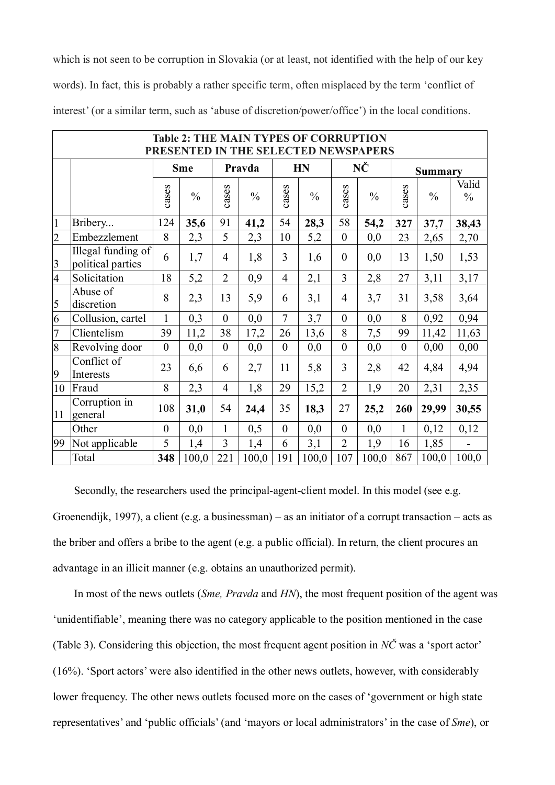which is not seen to be corruption in Slovakia (or at least, not identified with the help of our key words). In fact, this is probably a rather specific term, often misplaced by the term 'conflict of interest' (or a similar term, such as 'abuse of discretion/power/office') in the local conditions.

|                |                                         |                |               |                | <b>Table 2: THE MAIN TYPES OF CORRUPTION</b><br>PRESENTED IN THE SELECTED NEWSPAPERS |                  |               |                         |               |              |                |                        |
|----------------|-----------------------------------------|----------------|---------------|----------------|--------------------------------------------------------------------------------------|------------------|---------------|-------------------------|---------------|--------------|----------------|------------------------|
|                |                                         |                | <b>Sme</b>    |                | Pravda                                                                               |                  | <b>HN</b>     |                         | NČ            |              | <b>Summary</b> |                        |
|                |                                         | cases          | $\frac{0}{0}$ | cases          | $\frac{0}{0}$                                                                        | cases            | $\frac{0}{0}$ | cases                   | $\frac{0}{0}$ | cases        | $\frac{0}{0}$  | Valid<br>$\frac{0}{0}$ |
| $\mathbf{1}$   | Bribery                                 | 124            | 35,6          | 91             | 41,2                                                                                 | 54               | 28,3          | 58                      | 54,2          | 327          | 37,7           | 38,43                  |
| $\overline{2}$ | Embezzlement                            | 8              | 2,3           | 5              | 2,3                                                                                  | 10               | 5,2           | $\boldsymbol{0}$        | 0,0           | 23           | 2,65           | 2,70                   |
| $\overline{3}$ | Illegal funding of<br>political parties | 6              | 1,7           | $\overline{4}$ | 1,8                                                                                  | 3                | 1,6           | $\boldsymbol{0}$        | 0,0           | 13           | 1,50           | 1,53                   |
| $\overline{4}$ | Solicitation                            | 18             | 5,2           | $\overline{2}$ | 0,9                                                                                  | $\overline{4}$   | 2,1           | 3                       | 2,8           | 27           | 3,11           | 3,17                   |
| 5              | Abuse of<br>discretion                  | 8              | 2,3           | 13             | 5,9                                                                                  | 6                | 3,1           | $\overline{4}$          | 3,7           | 31           | 3,58           | 3,64                   |
| 6              | Collusion, cartel                       | $\mathbf{1}$   | 0,3           | $\mathbf{0}$   | 0,0                                                                                  | $\overline{7}$   | 3,7           | $\boldsymbol{0}$        | 0,0           | 8            | 0,92           | 0,94                   |
| $\overline{7}$ | Clientelism                             | 39             | 11,2          | 38             | 17,2                                                                                 | 26               | 13,6          | 8                       | 7,5           | 99           | 11,42          | 11,63                  |
| 8              | Revolving door                          | $\theta$       | 0,0           | $\theta$       | 0,0                                                                                  | $\boldsymbol{0}$ | 0,0           | $\boldsymbol{0}$        | 0,0           | $\theta$     | 0,00           | 0,00                   |
| 9              | Conflict of<br>Interests                | 23             | 6,6           | 6              | 2,7                                                                                  | 11               | 5,8           | $\overline{\mathbf{3}}$ | 2,8           | 42           | 4,84           | 4,94                   |
| 10             | Fraud                                   | 8              | 2,3           | $\overline{4}$ | 1,8                                                                                  | 29               | 15,2          | $\overline{2}$          | 1,9           | 20           | 2,31           | 2,35                   |
| 11             | Corruption in<br>general                | 108            | 31,0          | 54             | 24,4                                                                                 | 35               | 18,3          | 27                      | 25,2          | 260          | 29,99          | 30,55                  |
|                | Other                                   | $\overline{0}$ | 0,0           | $\mathbf{1}$   | 0,5                                                                                  | $\theta$         | 0,0           | $\mathbf{0}$            | 0,0           | $\mathbf{1}$ | 0,12           | 0,12                   |
| 99             | Not applicable                          | 5              | 1,4           | 3              | 1,4                                                                                  | 6                | 3,1           | $\overline{2}$          | 1,9           | 16           | 1,85           |                        |
|                | Total                                   | 348            | 100,0         | 221            | 100,0                                                                                | 191              | 100,0         | 107                     | 100,0         | 867          | 100,0          | 100,0                  |

Secondly, the researchers used the principal-agent-client model. In this model (see e.g. Groenendijk, 1997), a client (e.g. a businessman) – as an initiator of a corrupt transaction – acts as the briber and offers a bribe to the agent (e.g. a public official). In return, the client procures an advantage in an illicit manner (e.g. obtains an unauthorized permit).

In most of the news outlets (*Sme, Pravda* and *HN*), the most frequent position of the agent was 'unidentifiable', meaning there was no category applicable to the position mentioned in the case (Table 3). Considering this objection, the most frequent agent position in *NČ* was a 'sport actor' (16%). 'Sport actors' were also identified in the other news outlets, however, with considerably lower frequency. The other news outlets focused more on the cases of 'government or high state representatives' and 'public officials' (and 'mayors or local administrators' in the case of *Sme*), or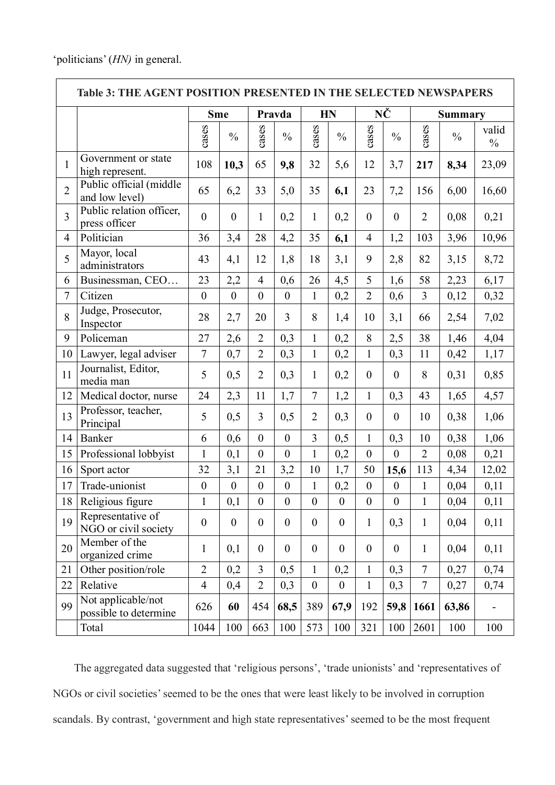|                | <b>Table 3: THE AGENT POSITION PRESENTED IN THE SELECTED NEWSPAPERS</b> |                  |                  |                  |                  |                  |                  |                  |                  |                |                |                        |  |  |
|----------------|-------------------------------------------------------------------------|------------------|------------------|------------------|------------------|------------------|------------------|------------------|------------------|----------------|----------------|------------------------|--|--|
|                |                                                                         | <b>Sme</b>       |                  |                  | Pravda           |                  | <b>HN</b>        |                  | NČ               |                | <b>Summary</b> |                        |  |  |
|                |                                                                         | cases            | $\frac{0}{0}$    | cases            | $\frac{0}{0}$    | cases            | $\frac{0}{0}$    | cases            | $\frac{0}{0}$    | cases          | $\frac{0}{0}$  | valid<br>$\frac{0}{0}$ |  |  |
| $\mathbf{1}$   | Government or state<br>high represent.                                  | 108              | 10,3             | 65               | 9,8              | 32               | 5,6              | 12               | 3,7              | 217            | 8,34           | 23,09                  |  |  |
| $\overline{2}$ | Public official (middle<br>and low level)                               | 65               | 6,2              | 33               | 5,0              | 35               | 6,1              | 23               | 7,2              | 156            | 6,00           | 16,60                  |  |  |
| $\overline{3}$ | Public relation officer,<br>press officer                               | $\boldsymbol{0}$ | $\boldsymbol{0}$ | $\mathbf{1}$     | 0,2              | $\mathbf{1}$     | 0,2              | $\boldsymbol{0}$ | $\boldsymbol{0}$ | $\overline{2}$ | 0,08           | 0,21                   |  |  |
| $\overline{4}$ | Politician                                                              | 36               | 3,4              | 28               | 4,2              | 35               | 6,1              | $\overline{4}$   | 1,2              | 103            | 3,96           | 10,96                  |  |  |
| 5              | Mayor, local<br>administrators                                          | 43               | 4,1              | 12               | 1,8              | 18               | 3,1              | 9                | 2,8              | 82             | 3,15           | 8,72                   |  |  |
| 6              | Businessman, CEO                                                        | 23               | 2,2              | $\overline{4}$   | 0,6              | 26               | 4,5              | 5                | 1,6              | 58             | 2,23           | 6,17                   |  |  |
| $\tau$         | Citizen                                                                 | $\boldsymbol{0}$ | $\boldsymbol{0}$ | $\boldsymbol{0}$ | $\boldsymbol{0}$ | $\mathbf{1}$     | 0,2              | $\overline{2}$   | 0,6              | $\overline{3}$ | 0,12           | 0,32                   |  |  |
| 8              | Judge, Prosecutor,<br>Inspector                                         | 28               | 2,7              | 20               | $\overline{3}$   | 8                | 1,4              | 10               | 3,1              | 66             | 2,54           | 7,02                   |  |  |
| 9              | Policeman                                                               | 27               | 2,6              | $\overline{2}$   | 0,3              | $\mathbf{1}$     | 0,2              | 8                | 2,5              | 38             | 1,46           | 4,04                   |  |  |
| 10             | Lawyer, legal adviser                                                   | $\boldsymbol{7}$ | 0,7              | $\overline{2}$   | 0,3              | $\mathbf{1}$     | 0,2              | $\mathbf{1}$     | 0,3              | 11             | 0,42           | 1,17                   |  |  |
| 11             | Journalist, Editor,<br>media man                                        | 5                | 0,5              | $\overline{2}$   | 0,3              | 1                | 0,2              | $\mathbf{0}$     | $\mathbf{0}$     | 8              | 0,31           | 0,85                   |  |  |
| 12             | Medical doctor, nurse                                                   | 24               | 2,3              | 11               | 1,7              | $\overline{7}$   | 1,2              | $\mathbf{1}$     | 0,3              | 43             | 1,65           | 4,57                   |  |  |
| 13             | Professor, teacher,<br>Principal                                        | 5                | 0,5              | $\overline{3}$   | 0,5              | $\overline{2}$   | 0,3              | $\mathbf{0}$     | $\boldsymbol{0}$ | 10             | 0,38           | 1,06                   |  |  |
| 14             | Banker                                                                  | 6                | 0,6              | $\overline{0}$   | $\boldsymbol{0}$ | $\overline{3}$   | 0,5              | $\mathbf{1}$     | 0,3              | 10             | 0,38           | 1,06                   |  |  |
| 15             | Professional lobbyist                                                   | $\mathbf{1}$     | 0,1              | $\boldsymbol{0}$ | $\boldsymbol{0}$ | $\mathbf{1}$     | 0,2              | $\boldsymbol{0}$ | $\boldsymbol{0}$ | $\overline{2}$ | 0,08           | 0,21                   |  |  |
| 16             | Sport actor                                                             | 32               | 3,1              | 21               | 3,2              | 10               | 1,7              | 50               | 15,6             | 113            | 4,34           | 12,02                  |  |  |
| 17             | Trade-unionist                                                          | $\boldsymbol{0}$ | $\boldsymbol{0}$ | $\boldsymbol{0}$ | $\boldsymbol{0}$ | $\mathbf{1}$     | $_{0,2}$         | $\boldsymbol{0}$ | $\boldsymbol{0}$ | 1              | 0,04           | 0,11                   |  |  |
| 18             | Religious figure                                                        | $\mathbf{1}$     | 0,1              | $\boldsymbol{0}$ | $\boldsymbol{0}$ | $\overline{0}$   | $\mathbf{0}$     | $\overline{0}$   | $\boldsymbol{0}$ | $\mathbf{1}$   | 0,04           | 0,11                   |  |  |
| 19             | Representative of<br>NGO or civil society                               | $\boldsymbol{0}$ | $\boldsymbol{0}$ | $\boldsymbol{0}$ | $\boldsymbol{0}$ | $\boldsymbol{0}$ | $\boldsymbol{0}$ | 1                | 0,3              | $\mathbf{1}$   | 0,04           | 0,11                   |  |  |
| 20             | Member of the<br>organized crime                                        | $\mathbf{1}$     | 0,1              | $\overline{0}$   | $\boldsymbol{0}$ | $\boldsymbol{0}$ | $\boldsymbol{0}$ | $\boldsymbol{0}$ | $\boldsymbol{0}$ | $\mathbf{1}$   | 0,04           | 0,11                   |  |  |
| 21             | Other position/role                                                     | $\overline{2}$   | 0,2              | $\overline{3}$   | 0,5              | $\mathbf{1}$     | 0,2              | $\mathbf{1}$     | 0,3              | $\tau$         | 0,27           | 0,74                   |  |  |
| 22             | Relative                                                                | $\overline{4}$   | 0,4              | $\overline{2}$   | 0,3              | $\boldsymbol{0}$ | $\boldsymbol{0}$ | $\mathbf{1}$     | 0,3              | $\tau$         | 0,27           | 0,74                   |  |  |
| 99             | Not applicable/not<br>possible to determine                             | 626              | 60               | 454              | 68,5             | 389              | 67,9             | 192              | 59,8             | 1661           | 63,86          |                        |  |  |
|                | Total                                                                   | 1044             | 100              | 663              | 100              | 573              | 100              | 321              | 100              | 2601           | 100            | 100                    |  |  |

The aggregated data suggested that 'religious persons', 'trade unionists' and 'representatives of NGOs or civil societies' seemed to be the ones that were least likely to be involved in corruption scandals. By contrast, 'government and high state representatives' seemed to be the most frequent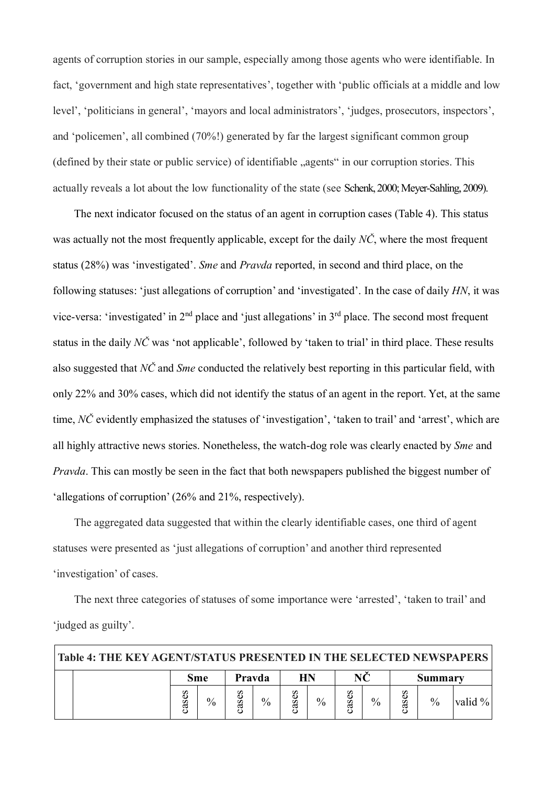agents of corruption stories in our sample, especially among those agents who were identifiable. In fact, 'government and high state representatives', together with 'public officials at a middle and low level', 'politicians in general', 'mayors and local administrators', 'judges, prosecutors, inspectors', and 'policemen', all combined (70%!) generated by far the largest significant common group (defined by their state or public service) of identifiable "agents" in our corruption stories. This actually reveals a lot about the low functionality of the state (see Schenk, 2000; Meyer-Sahling, 2009).

The next indicator focused on the status of an agent in corruption cases (Table 4). This status was actually not the most frequently applicable, except for the daily *NČ*, where the most frequent status (28%) was 'investigated'. *Sme* and *Pravda* reported, in second and third place, on the following statuses: 'just allegations of corruption' and 'investigated'. In the case of daily *HN*, it was vice-versa: 'investigated' in 2<sup>nd</sup> place and 'just allegations' in 3<sup>rd</sup> place. The second most frequent status in the daily *NC* was 'not applicable', followed by 'taken to trial' in third place. These results also suggested that *NČ* and *Sme* conducted the relatively best reporting in this particular field, with only 22% and 30% cases, which did not identify the status of an agent in the report. Yet, at the same time, *NČ* evidently emphasized the statuses of 'investigation', 'taken to trail' and 'arrest', which are all highly attractive news stories. Nonetheless, the watch-dog role was clearly enacted by *Sme* and *Pravda*. This can mostly be seen in the fact that both newspapers published the biggest number of 'allegations of corruption' (26% and 21%, respectively).

The aggregated data suggested that within the clearly identifiable cases, one third of agent statuses were presented as 'just allegations of corruption' and another third represented 'investigation' of cases.

The next three categories of statuses of some importance were 'arrested', 'taken to trail' and 'judged as guilty'.

| Table 4: THE KEY AGENT/STATUS PRESENTED IN THE SELECTED NEWSPAPERS |       |               |              |        |              |               |           |               |                   |               |         |  |
|--------------------------------------------------------------------|-------|---------------|--------------|--------|--------------|---------------|-----------|---------------|-------------------|---------------|---------|--|
|                                                                    | Sme   |               |              | Pravda |              | HN            |           |               |                   | Summary       |         |  |
|                                                                    | cases | $\frac{0}{0}$ | 89<br>S<br>ᢍ | $\%$   | es<br>S<br>d | $\frac{0}{0}$ | 89<br>cas | $\frac{0}{0}$ | 89<br>S<br>ಡ<br>ပ | $\frac{0}{0}$ | valid % |  |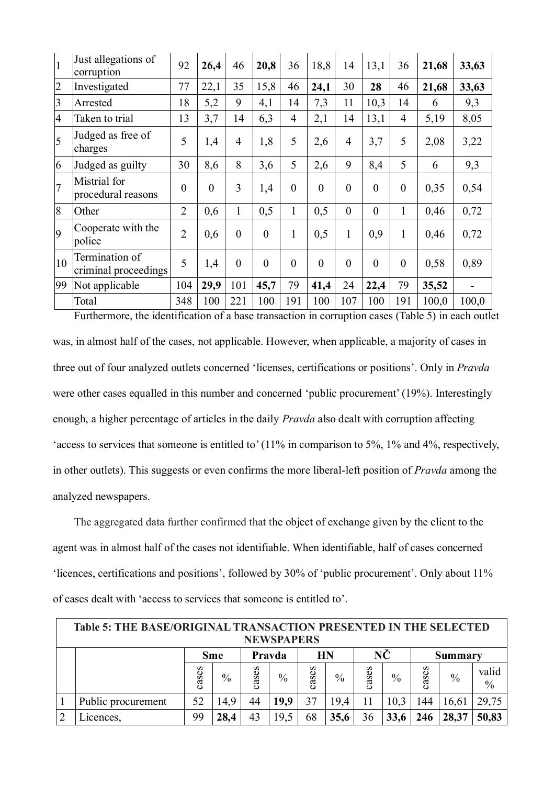| $\overline{1}$ | Just allegations of<br>corruption      | 92             | 26,4           | 46             | 20,8           | 36             | 18,8           | 14             | 13,1           | 36             | 21,68 | 33,63 |
|----------------|----------------------------------------|----------------|----------------|----------------|----------------|----------------|----------------|----------------|----------------|----------------|-------|-------|
| $\overline{c}$ | Investigated                           | 77             | 22,1           | 35             | 15,8           | 46             | 24,1           | 30             | 28             | 46             | 21,68 | 33,63 |
| 3              | Arrested                               | 18             | 5,2            | 9              | 4,1            | 14             | 7,3            | 11             | 10,3           | 14             | 6     | 9,3   |
| $\overline{4}$ | Taken to trial                         | 13             | 3,7            | 14             | 6,3            | $\overline{4}$ | 2,1            | 14             | 13,1           | $\overline{4}$ | 5,19  | 8,05  |
| 5              | Judged as free of<br>charges           | 5              | 1,4            | $\overline{4}$ | 1,8            | 5              | 2,6            | $\overline{4}$ | 3,7            | 5              | 2,08  | 3,22  |
| 6              | Judged as guilty                       | 30             | 8,6            | 8              | 3,6            | 5              | 2,6            | 9              | 8,4            | 5              | 6     | 9,3   |
| $\overline{7}$ | Mistrial for<br>procedural reasons     | $\overline{0}$ | $\overline{0}$ | 3              | 1,4            | $\theta$       | $\overline{0}$ | $\overline{0}$ | $\overline{0}$ | $\overline{0}$ | 0,35  | 0,54  |
| 8              | Other                                  | $\overline{2}$ | 0,6            | $\mathbf{1}$   | 0,5            | $\mathbf{1}$   | 0,5            | $\overline{0}$ | $\theta$       | $\mathbf{1}$   | 0,46  | 0,72  |
| 9              | Cooperate with the<br>police           | $\overline{2}$ | 0,6            | $\theta$       | $\overline{0}$ | 1              | 0,5            | 1              | 0,9            | $\mathbf{1}$   | 0,46  | 0,72  |
| 10             | Termination of<br>criminal proceedings | 5              | 1,4            | $\overline{0}$ | $\overline{0}$ | $\overline{0}$ | $\overline{0}$ | $\overline{0}$ | $\overline{0}$ | $\overline{0}$ | 0,58  | 0,89  |
| 99             | Not applicable                         | 104            | 29,9           | 101            | 45,7           | 79             | 41,4           | 24             | 22,4           | 79             | 35,52 |       |
|                | Total                                  | 348            | 100            | 221            | 100            | 191            | 100            | 107            | 100            | 191            | 100,0 | 100,0 |

Furthermore, the identification of a base transaction in corruption cases (Table 5) in each outlet was, in almost half of the cases, not applicable. However, when applicable, a majority of cases in three out of four analyzed outlets concerned 'licenses, certifications or positions'. Only in *Pravda* were other cases equalled in this number and concerned 'public procurement' (19%). Interestingly enough, a higher percentage of articles in the daily *Pravda* also dealt with corruption affecting 'access to services that someone is entitled to' (11% in comparison to 5%, 1% and 4%, respectively, in other outlets). This suggests or even confirms the more liberal-left position of *Pravda* among the analyzed newspapers.

The aggregated data further confirmed that the object of exchange given by the client to the agent was in almost half of the cases not identifiable. When identifiable, half of cases concerned 'licences, certifications and positions', followed by 30% of 'public procurement'. Only about 11% of cases dealt with 'access to services that someone is entitled to'.

| <b>Table 5: THE BASE/ORIGINAL TRANSACTION PRESENTED IN THE SELECTED</b><br><b>NEWSPAPERS</b> |           |               |        |      |           |               |       |      |                |               |                        |  |
|----------------------------------------------------------------------------------------------|-----------|---------------|--------|------|-----------|---------------|-------|------|----------------|---------------|------------------------|--|
|                                                                                              |           | <b>Sme</b>    | Pravda |      | <b>HN</b> |               | NČ    |      | <b>Summary</b> |               |                        |  |
|                                                                                              | 89<br>cas | $\frac{0}{0}$ | cases  | $\%$ | cases     | $\frac{0}{0}$ | cases | $\%$ | cases          | $\frac{0}{0}$ | valid<br>$\frac{0}{0}$ |  |
| Public procurement                                                                           | 52        | 14.9          | 44     | 19,9 | 37        | 19.4          | 11    | 10,3 | 144            | 16,61         | 29,75                  |  |
| Licences.                                                                                    | 99        | 28,4          | 43     | 19,5 | 68        | 35,6          | 36    | 33,6 |                | 28,37         | 50,83                  |  |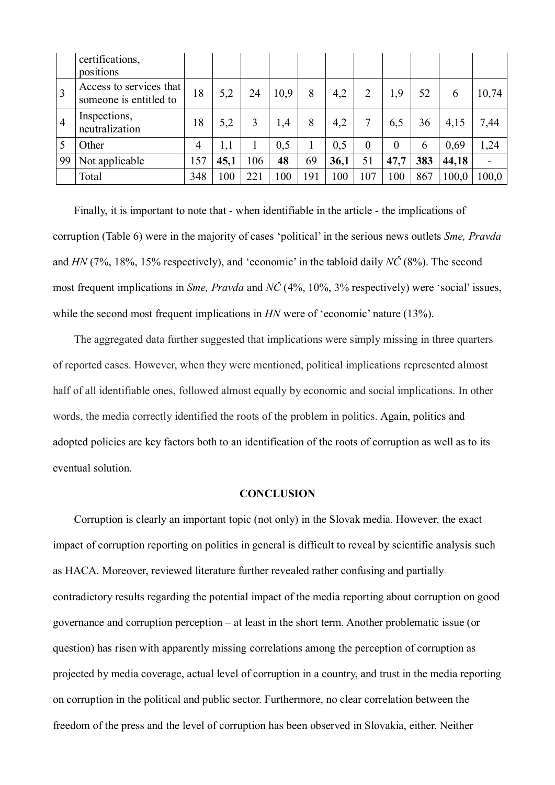|                | certifications,<br>positions                      |                |      |     |      |     |      |          |          |     |       |       |
|----------------|---------------------------------------------------|----------------|------|-----|------|-----|------|----------|----------|-----|-------|-------|
|                | Access to services that<br>someone is entitled to | 18             | 5,2  | 24  | 10,9 | 8   | 4,2  | 2        | 1,9      | 52  | 6     | 10,74 |
| $\overline{4}$ | Inspections,<br>neutralization                    | 18             | 5,2  | 3   | 1,4  | 8   | 4,2  | 7        | 6,5      | 36  | 4,15  | 7,44  |
|                | Other                                             | $\overline{4}$ | 1,1  |     | 0,5  |     | 0,5  | $\theta$ | $\theta$ | 6   | 0,69  | 1,24  |
| 99             | Not applicable                                    | 157            | 45,1 | 106 | 48   | 69  | 36,1 | 51       | 47,7     | 383 | 44,18 |       |
|                | Total                                             | 348            | 100  | 221 | 100  | 191 | 100  | 107      | 100      | 867 | 100,0 | 100,0 |

Finally, it is important to note that - when identifiable in the article - the implications of corruption (Table 6) were in the majority of cases 'political' in the serious news outlets *Sme, Pravda*  and *HN* (7%, 18%, 15% respectively), and 'economic' in the tabloid daily *NČ* (8%). The second most frequent implications in *Sme, Pravda* and *NČ* (4%, 10%, 3% respectively) were 'social' issues, while the second most frequent implications in *HN* were of 'economic' nature (13%).

The aggregated data further suggested that implications were simply missing in three quarters of reported cases. However, when they were mentioned, political implications represented almost half of all identifiable ones, followed almost equally by economic and social implications. In other words, the media correctly identified the roots of the problem in politics. Again, politics and adopted policies are key factors both to an identification of the roots of corruption as well as to its eventual solution.

#### **CONCLUSION**

Corruption is clearly an important topic (not only) in the Slovak media. However, the exact impact of corruption reporting on politics in general is difficult to reveal by scientific analysis such as HACA. Moreover, reviewed literature further revealed rather confusing and partially contradictory results regarding the potential impact of the media reporting about corruption on good governance and corruption perception – at least in the short term. Another problematic issue (or question) has risen with apparently missing correlations among the perception of corruption as projected by media coverage, actual level of corruption in a country, and trust in the media reporting on corruption in the political and public sector. Furthermore, no clear correlation between the freedom of the press and the level of corruption has been observed in Slovakia, either. Neither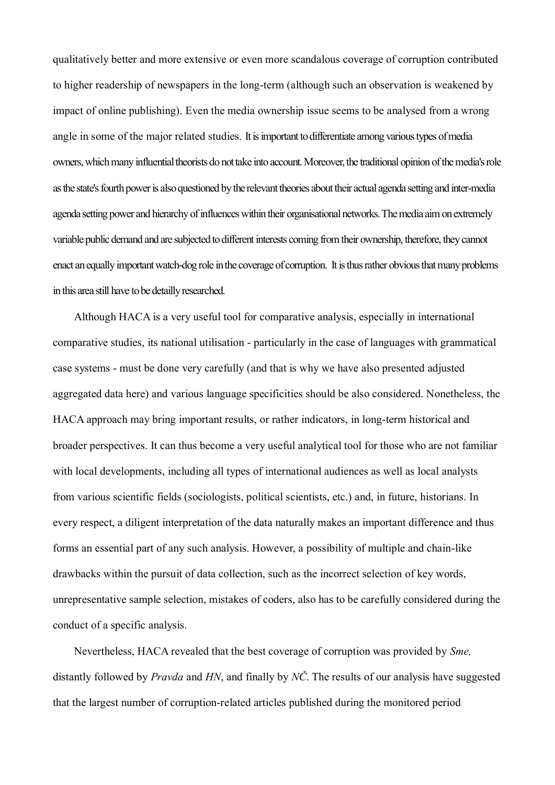qualitatively better and more extensive or even more scandalous coverage of corruption contributed to higher readership of newspapers in the long-term (although such an observation is weakened by impact of online publishing). Even the media ownership issue seems to be analysed from a wrong angle in some of the major related studies. It is important to differentiate among various types of media owners, which many influential theorists do not take into account. Moreover, the traditional opinion of the media's role as the state's fourth power is also questioned by the relevant theories about their actual agenda setting and inter-media agenda setting power and hierarchy of influences within their organisational networks. The media aim on extremely variable public demand and are subjected to different interests coming from their ownership, therefore, they cannot enact an equally important watch-dog role in the coverage of corruption. It is thus rather obvious that many problems in this area still have to be detailly researched.

Although HACA is a very useful tool for comparative analysis, especially in international comparative studies, its national utilisation - particularly in the case of languages with grammatical case systems - must be done very carefully (and that is why we have also presented adjusted aggregated data here) and various language specificities should be also considered. Nonetheless, the HACA approach may bring important results, or rather indicators, in long-term historical and broader perspectives. It can thus become a very useful analytical tool for those who are not familiar with local developments, including all types of international audiences as well as local analysts from various scientific fields (sociologists, political scientists, etc.) and, in future, historians. In every respect, a diligent interpretation of the data naturally makes an important difference and thus forms an essential part of any such analysis. However, a possibility of multiple and chain-like drawbacks within the pursuit of data collection, such as the incorrect selection of key words, unrepresentative sample selection, mistakes of coders, also has to be carefully considered during the conduct of a specific analysis.

Nevertheless, HACA revealed that the best coverage of corruption was provided by *Sme,* distantly followed by *Pravda* and *HN*, and finally by *NČ*. The results of our analysis have suggested that the largest number of corruption-related articles published during the monitored period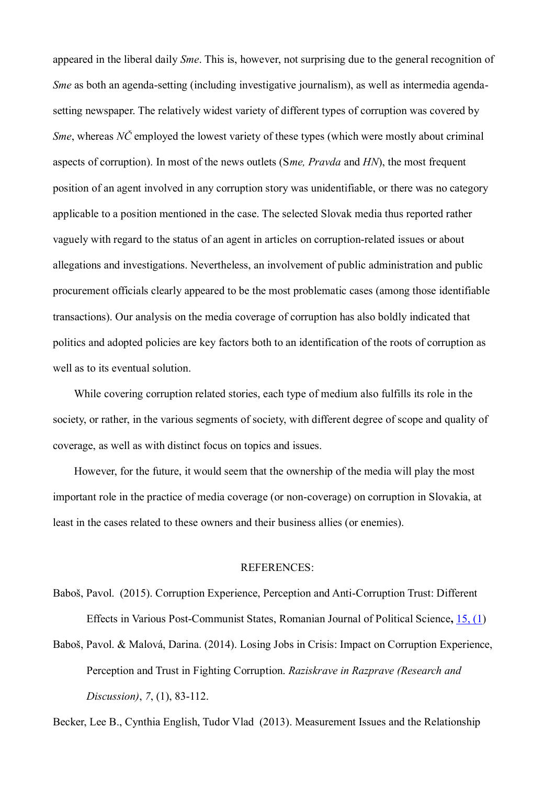appeared in the liberal daily *Sme*. This is, however, not surprising due to the general recognition of *Sme* as both an agenda-setting (including investigative journalism), as well as intermedia agendasetting newspaper. The relatively widest variety of different types of corruption was covered by *Sme*, whereas *NC* employed the lowest variety of these types (which were mostly about criminal aspects of corruption). In most of the news outlets (S*me, Pravda* and *HN*), the most frequent position of an agent involved in any corruption story was unidentifiable, or there was no category applicable to a position mentioned in the case. The selected Slovak media thus reported rather vaguely with regard to the status of an agent in articles on corruption-related issues or about allegations and investigations. Nevertheless, an involvement of public administration and public procurement officials clearly appeared to be the most problematic cases (among those identifiable transactions). Our analysis on the media coverage of corruption has also boldly indicated that politics and adopted policies are key factors both to an identification of the roots of corruption as well as to its eventual solution.

While covering corruption related stories, each type of medium also fulfills its role in the society, or rather, in the various segments of society, with different degree of scope and quality of coverage, as well as with distinct focus on topics and issues.

However, for the future, it would seem that the ownership of the media will play the most important role in the practice of media coverage (or non-coverage) on corruption in Slovakia, at least in the cases related to these owners and their business allies (or enemies).

### REFERENCES:

- Baboš, Pavol. (2015). Corruption Experience, Perception and Anti-Corruption Trust: Different Effects in Various Post-Communist States, Romanian Journal of Political Science**,** 15, (1)
- Baboš, Pavol. & Malová, Darina. (2014). Losing Jobs in Crisis: Impact on Corruption Experience, Perception and Trust in Fighting Corruption. *Raziskrave in Razprave (Research and Discussion)*, *7*, (1), 83-112.

Becker, Lee B., Cynthia English, Tudor Vlad (2013). Measurement Issues and the Relationship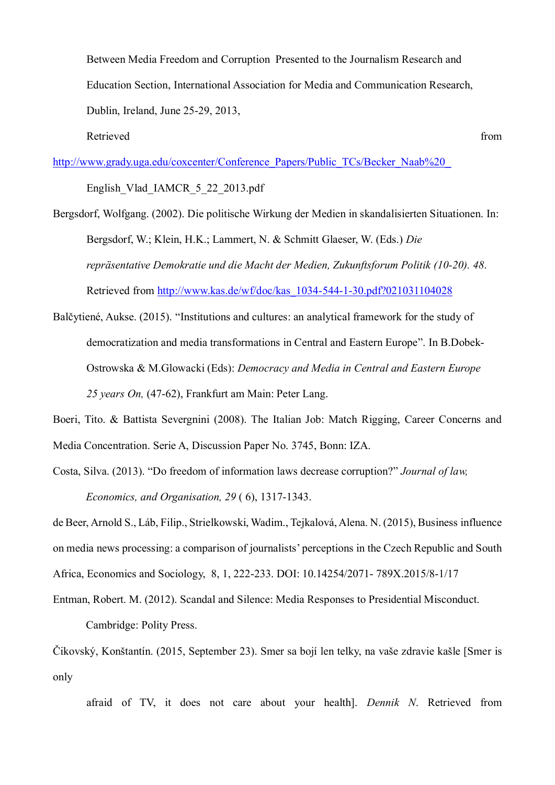Between Media Freedom and Corruption Presented to the Journalism Research and Education Section, International Association for Media and Communication Research, Dublin, Ireland, June 25-29, 2013,

Retrieved from the state of the state of the state of the state of the state of the state of the state of the state of the state of the state of the state of the state of the state of the state of the state of the state of

http://www.grady.uga.edu/coxcenter/Conference\_Papers/Public\_TCs/Becker\_Naab%20\_

English Vlad IAMCR 5 22 2013.pdf

Bergsdorf, Wolfgang. (2002). Die politische Wirkung der Medien in skandalisierten Situationen. In: Bergsdorf, W.; Klein, H.K.; Lammert, N. & Schmitt Glaeser, W. (Eds.) *Die repräsentative Demokratie und die Macht der Medien, Zukunftsforum Politik (10-20). 48*. Retrieved from http://www.kas.de/wf/doc/kas\_1034-544-1-30.pdf?021031104028

Balčytiené, Aukse. (2015). "Institutions and cultures: an analytical framework for the study of democratization and media transformations in Central and Eastern Europe". In B.Dobek-Ostrowska & M.Glowacki (Eds): *Democracy and Media in Central and Eastern Europe 25 years On,* (47-62), Frankfurt am Main: Peter Lang.

Boeri, Tito. & Battista Severgnini (2008). The Italian Job: Match Rigging, Career Concerns and Media Concentration. Serie A, Discussion Paper No. 3745, Bonn: IZA.

Costa, Silva. (2013). "Do freedom of information laws decrease corruption?" *Journal of law, Economics, and Organisation, 29* ( 6), 1317-1343.

de Beer, Arnold S., Láb, Filip., Strielkowski, Wadim., Tejkalová, Alena. N. (2015), Business influence on media news processing: a comparison of journalists' perceptions in the Czech Republic and South Africa, Economics and Sociology, 8, 1, 222-233. DOI: 10.14254/2071- 789X.2015/8-1/17

Entman, Robert. M. (2012). Scandal and Silence: Media Responses to Presidential Misconduct. Cambridge: Polity Press.

Čikovský, Konštantín. (2015, September 23). Smer sa bojí len telky, na vaše zdravie kašle [Smer is only

afraid of TV, it does not care about your health]. *Dennik N*. Retrieved from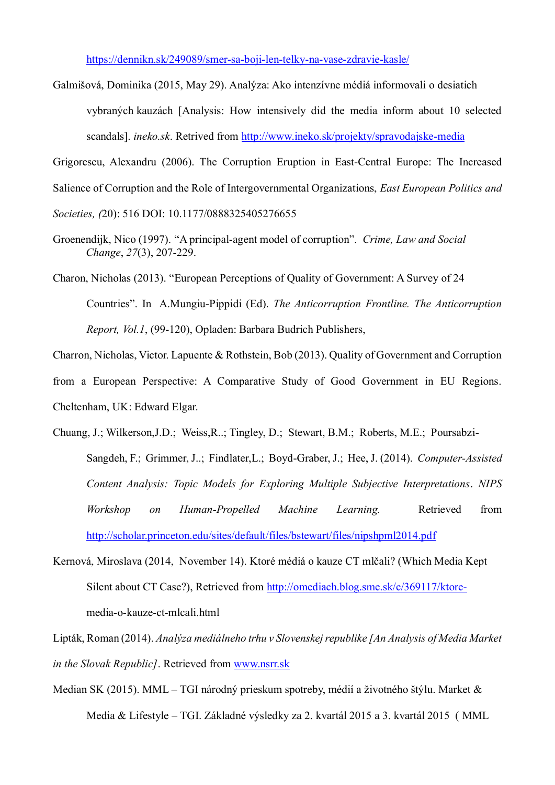https://dennikn.sk/249089/smer-sa-boji-len-telky-na-vase-zdravie-kasle/

Galmišová, Dominika (2015, May 29). Analýza: Ako intenzívne médiá informovali o desiatich vybraných kauzách [Analysis: How intensively did the media inform about 10 selected scandals]. *ineko.sk*. Retrived from http://www.ineko.sk/projekty/spravodajske-media

Grigorescu, Alexandru (2006). The Corruption Eruption in East-Central Europe: The Increased

Salience of Corruption and the Role of Intergovernmental Organizations, *East European Politics and* 

*Societies, (*20): 516 DOI: 10.1177/0888325405276655

- Groenendijk, Nico (1997). "A principal-agent model of corruption". *Crime, Law and Social Change*, *27*(3), 207-229.
- Charon, Nicholas (2013). "European Perceptions of Quality of Government: A Survey of 24 Countries". In A.Mungiu-Pippidi (Ed). *The Anticorruption Frontline. The Anticorruption Report, Vol.1*, (99-120), Opladen: Barbara Budrich Publishers,

Charron, Nicholas, Victor. Lapuente & Rothstein, Bob (2013). Quality of Government and Corruption from a European Perspective: A Comparative Study of Good Government in EU Regions. Cheltenham, UK: Edward Elgar.

- Chuang, J.; Wilkerson,J.D.; Weiss,R..; Tingley, D.; Stewart, B.M.; Roberts, M.E.; Poursabzi-Sangdeh, F.; Grimmer, J..; Findlater,L.; Boyd-Graber, J.; Hee, J. (2014). *Computer-Assisted Content Analysis: Topic Models for Exploring Multiple Subjective Interpretations*. *NIPS Workshop on Human-Propelled Machine Learning.* Retrieved from http://scholar.princeton.edu/sites/default/files/bstewart/files/nipshpml2014.pdf
- Kernová, Miroslava (2014, November 14). Ktoré médiá o kauze CT mlčali? (Which Media Kept Silent about CT Case?), Retrieved from http://omediach.blog.sme.sk/c/369117/ktoremedia-o-kauze-ct-mlcali.html

Lipták, Roman (2014). *Analýza mediálneho trhu v Slovenskej republike [An Analysis of Media Market in the Slovak Republic]*. Retrieved from www.nsrr.sk

Median SK (2015). MML – TGI národný prieskum spotreby, médií a životného štýlu. Market & Media & Lifestyle – TGI. Základné výsledky za 2. kvartál 2015 a 3. kvartál 2015 ( MML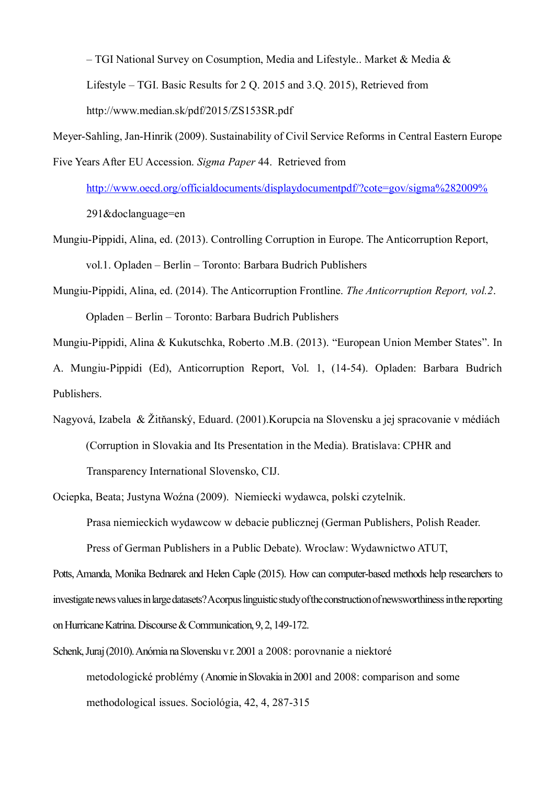– TGI National Survey on Cosumption, Media and Lifestyle.. Market & Media & Lifestyle – TGI. Basic Results for 2 Q. 2015 and 3.Q. 2015), Retrieved from http://www.median.sk/pdf/2015/ZS153SR.pdf

Meyer-Sahling, Jan-Hinrik (2009). Sustainability of Civil Service Reforms in Central Eastern Europe Five Years After EU Accession. *Sigma Paper* 44. Retrieved from

http://www.oecd.org/officialdocuments/displaydocumentpdf/?cote=gov/sigma%282009% 291&doclanguage=en

- Mungiu-Pippidi, Alina, ed. (2013). Controlling Corruption in Europe. The Anticorruption Report, vol.1. Opladen – Berlin – Toronto: Barbara Budrich Publishers
- Mungiu-Pippidi, Alina, ed. (2014). The Anticorruption Frontline. *The Anticorruption Report, vol.2*. Opladen – Berlin – Toronto: Barbara Budrich Publishers

Mungiu-Pippidi, Alina & Kukutschka, Roberto .M.B. (2013). "European Union Member States". In

A. Mungiu-Pippidi (Ed), Anticorruption Report, Vol. 1, (14-54). Opladen: Barbara Budrich Publishers.

Nagyová, Izabela & Žitňanský, Eduard. (2001).Korupcia na Slovensku a jej spracovanie v médiách (Corruption in Slovakia and Its Presentation in the Media). Bratislava: CPHR and Transparency International Slovensko, CIJ.

Ociepka, Beata; Justyna Woźna (2009). Niemiecki wydawca, polski czytelnik.

Prasa niemieckich wydawcow w debacie publicznej (German Publishers, Polish Reader. Press of German Publishers in a Public Debate). Wroclaw: Wydawnictwo ATUT,

Potts, Amanda, Monika Bednarek and Helen Caple (2015). How can computer-based methods help researchers to investigate news values in large datasets? A corpus linguistic study of the construction of newsworthiness in the reporting on Hurricane Katrina. Discourse & Communication, 9, 2, 149-172.

Schenk, Juraj (2010). Anómia na Slovensku v r. 2001 a 2008: porovnanie a niektoré metodologické problémy (Anomie in Slovakia in 2001 and 2008: comparison and some methodological issues. Sociológia, 42, 4, 287-315